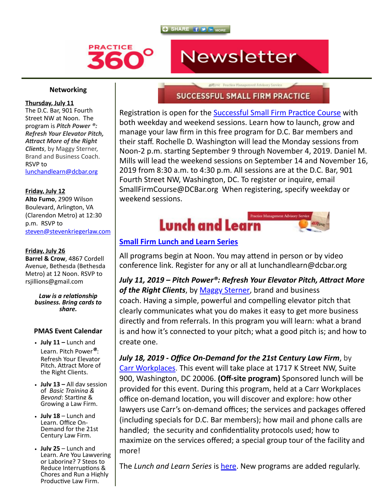



### **Networking**

### **Thursday, July 11**

The D.C. Bar, 901 Fourth Street NW at Noon. The program is *Pitch Power ®: Refresh Your Elevator Pitch, Aract More of the Right Clients*, by Maggy Sterner, Brand and Business Coach. RSVP to [lunchandlearn@dcbar.org](mailto:lunchandlearn@dcbar.org)

## **Friday, July 12**

**Alto Fumo**, 2909 Wilson Boulevard, Arlington, VA (Clarendon Metro) at 12:30 p.m. RSVP to [steven@stevenkriegerlaw.com](mailto:steven@stevenkriegerlaw.com)

### **Friday, July 26**

**Barrel & Crow**, 4867 Cordell Avenue, Bethesda (Bethesda Metro) at 12 Noon. RSVP to rsjillions@gmail.com

> Law is a relationship *business. Bring cards to share.*

### **PMAS Event Calendar**

- **July 11 –** Lunch and Learn. Pitch Power*®*: Refresh Your Elevator Pitch. Attract More of the Right Clients.
- **July 13** All day session of *Basic Training &* **Bevond: Starting &** Growing a Law Firm.
- **July 18** Lunch and Learn. Office On-Demand for the 21st Century Law Firm.
- **July 25** Lunch and Learn. Are You Lawyering or Laboring? 7 Steps to Reduce Interruptions & Chores and Run a Highly Productive Law Firm.

# ASOUAR Deactice Hannonment Advisory Service **SUCCESSFUL SMALL FIRM PRACTICE**

Newsletter

Registration is open for the Successful Small Firm Practice Course with both weekday and weekend sessions. Learn how to launch, grow and manage your law firm in this free program for D.C. Bar members and their staff. Rochelle D. Washington will lead the Monday sessions from Noon-2 p.m. starting September 9 through November 4, 2019. Daniel M. Mills will lead the weekend sessions on September 14 and November 16, 2019 from 8:30 a.m. to 4:30 p.m. All sessions are at the D.C. Bar, 901 Fourth Street NW, Washington, DC. To register or inquire, email SmallFirmCourse@DCBar.org When registering, specify weekday or weekend sessions.



## **[Small Firm Lunch and Learn Series](http://www.dcbar.org/bar-resources/practice-management-advisory-service/Lunch-Series.cfm?utm_source=Real%20Magnet&utm_medium=INSERT_CHANNEL&utm_campaign=INSERT_LINK_ID)**

All programs begin at Noon. You may attend in person or by video conference link. Register for any or all at lunchandlearn@dcbar.org

July 11, 2019 – Pitch Power®: Refresh Your Elevator Pitch, Attract More *of the Right Clients*, by [Maggy Sterner](https://maggysterner.com/), brand and business coach. Having a simple, powerful and compelling elevator pitch that clearly communicates what you do makes it easy to get more business directly and from referrals. In this program you will learn: what a brand is and how it's connected to your pitch; what a good pitch is; and how to create one.

*July 18, 2019 - Office On-Demand for the 21st Century Law Firm*, by [Carr Workplaces.](https://carrworkplaces.com/dcbar/) This event will take place at 1717 K Street NW, Suite 900, Washington, DC 20006. **(Off-site program)** Sponsored lunch will be provided for this event. During this program, held at a Carr Workplaces office on-demand location, you will discover and explore: how other lawyers use Carr's on-demand offices; the services and packages offered (including specials for D.C. Bar members); how mail and phone calls are handled; the security and confidentiality protocols used; how to maximize on the services offered; a special group tour of the facility and more!

The *Lunch and Learn Series* is [here](http://www.dcbar.org/bar-resources/practice-management-advisory-service/Lunch-Series.cfm?utm_source=Real%20Magnet&utm_medium=INSERT_CHANNEL&utm_campaign=INSERT_LINK_ID). New programs are added regularly.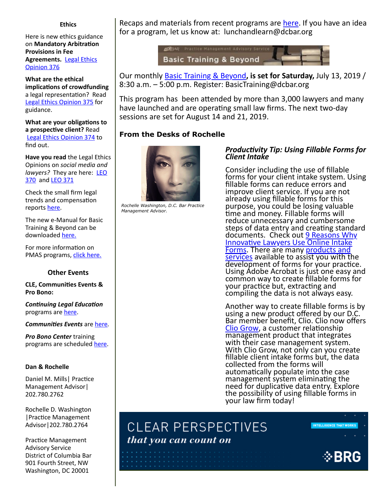#### **Ethics**

Here is new ethics guidance on **Mandatory Arbitration Provisions in Fee [Agreements.](https://www.dcbar.org/bar-resources/legal-ethics/opinions/Ethics-Opinion-376.cfm?utm_source=Real%20Magnet&utm_medium=INSERT_CHANNEL&utm_campaign=INSERT_LINK_ID)** Legal Ethics Opinion 376

**What are the ethical implications of crowdfunding** a legal representation? Read [Legal Ethics Opinion 375](http://www.dcbar.org/bar-resources/legal-ethics/opinions/Ethics-Opinion-375.cfm?utm_source=Real%20Magnet&utm_medium=INSERT_CHANNEL&utm_campaign=INSERT_LINK_ID) for guidance.

**What are your obligations to** a prospective client? Read [Legal Ethics Opinion 374](http://www.dcbar.org/bar-resources/legal-ethics/opinions/Ethics-Opinion-374.cfm?utm_source=Real%20Magnet&utm_medium=INSERT_CHANNEL&utm_campaign=INSERT_LINK_ID) to find out.

**Have you read** the Legal Ethics Opinions on *social media and lawyers?* [They are here: LEO](http://www.dcbar.org/bar-resources/legal-ethics/opinions/Ethics-Opinion-370.cfm?utm_source=Real%20Magnet&utm_medium=INSERT_CHANNEL&utm_campaign=INSERT_LINK_ID) 370 and [LEO 371](http://www.dcbar.org/bar-resources/legal-ethics/opinions/Ethics-Opinion-371.cfm?utm_source=Real%20Magnet&utm_medium=INSERT_CHANNEL&utm_campaign=INSERT_LINK_ID)

Check the small firm legal trends and compensation reports [here](http://www.dcbar.org/bar-resources/practice-management-advisory-service/basic-training-supplement.cfm?utm_source=Real%20Magnet&utm_medium=INSERT_CHANNEL&utm_campaign=INSERT_LINK_ID).

The new e-Manual for Basic Training & Beyond can be downloaded [here.](http://www.dcbar.org/bar-resources/practice-management-advisory-service/upload/eManual-050316.pdf?utm_source=Real%20Magnet&utm_medium=INSERT_CHANNEL&utm_campaign=INSERT_LINK_ID)

For more information on PMAS programs, [click here.](http://www.dcbar.org/bar-resources/practice-management-advisory-service/?utm_source=Real%20Magnet&utm_medium=INSERT_CHANNEL&utm_campaign=INSERT_LINK_ID)

### **Other Events**

**CLE, Communities Events & Pro Bono:**

**Continuing Legal Education** programs are [here.](http://www.dcbar.org/marketplace/index.cfm?cat=cle_inperson&utm_source=Real%20Magnet&utm_medium=INSERT_CHANNEL&utm_campaign=INSERT_LINK_ID)

*Communities Events* are [here](http://www.dcbar.org/events.cfm?filter_events=SECTION&utm_source=Real%20Magnet&utm_medium=INSERT_CHANNEL&utm_campaign=INSERT_LINK_ID).

*Pro Bono Center* training programs are scheduled [here.](http://www.dcbar.org/pro-bono/resources-and-training/pro-bono-training.cfm?utm_source=Real%20Magnet&utm_medium=INSERT_CHANNEL&utm_campaign=INSERT_LINK_ID)

### **Dan & Rochelle**

Daniel M. Mills | Practice Management Advisor| 202.780.2762

Rochelle D. Washington | Practice Management Advisor|202.780.2764

Practice Management Advisory Service District of Columbia Bar 901 Fourth Street, NW Washington, DC 20001

Recaps and materials from recent programs are [here](http://www.dcbar.org/bar-resources/practice-management-advisory-service/Lunch-Series-Past.cfm?utm_source=Real%20Magnet&utm_medium=INSERT_CHANNEL&utm_campaign=INSERT_LINK_ID). If you have an idea for a program, let us know at: lunchandlearn@dcbar.org



Our monthly [Basic Training & Beyond](http://www.dcbar.org/bar-resources/practice-management-advisory-service/basic-training.cfm?utm_source=Real%20Magnet&utm_medium=INSERT_CHANNEL&utm_campaign=INSERT_LINK_ID)**, is set for Saturday,** July 13, 2019 / 8:30 a.m. – 5:00 p.m. Register: BasicTraining@dcbar.org

This program has been attended by more than 3,000 lawyers and many have launched and are operating small law firms. The next two-day sessions are set for August 14 and 21, 2019.

## **From the Desks of Rochelle**



*Rochelle Washington, D.C. Bar Practice Management Advisor.* 

### *Productivity Tip: Using Fillable Forms for Client Intake*

Consider including the use of fillable forms for your client intake system. Using fillable forms can reduce errors and improve client service. If you are not already using fillable forms for this purpose, you could be losing valuable time and money. Fillable forms will reduce unnecessary and cumbersome steps of data entry and creating standard [documents. Check out 9 Reasons Why](http://www.mmsend31.com/link.cfm?r=zvkjaWqFFUTRz65Avl-Ftw~~&pe=hia70UIKWK8b6cBTrMBo0wVxcNcEt5kbrB9ZLpezgTVk4KwCzeshiv2juwJ-l2TIO4YA-rfanoeSAYzQQK4Zpg~~&t=SDd7wCLgDVOUteMt3--6QQ~~) Innovative Lawyers Use Online Intake Forms. There are many products and [services available to assist you with th](http://www.mmsend31.com/link.cfm?r=zvkjaWqFFUTRz65Avl-Ftw~~&pe=v-UZ_RVZLGBcjrJ-JBuFHo8IQbMl6cLiuJL-GYjLQ9LWLsGI_Q4Teb0IvBAYMsP9-5aTWLeSUL6JOM-UOEyllQ~~&t=SDd7wCLgDVOUteMt3--6QQ~~)e development of forms for your practice. Using Adobe Acrobat is just one easy and common way to create fillable forms for your practice but, extracting and compiling the data is not always easy.

Another way to create fillable forms is by using a new product offered by our D.C. Bar member benefit, Clio. Clio now offers [Clio Grow](http://www.mmsend31.com/link.cfm?r=zvkjaWqFFUTRz65Avl-Ftw~~&pe=J9mQ-0-EO48p31KTc3YCT68KHnNmxV_4QN9uiYbXe7W2U_NSRMEVWaIHJwdp9Xj85fcrLIxo67c6cOfrLiZErA~~&t=SDd7wCLgDVOUteMt3--6QQ~~), a customer relationship management product that integrates with their case management system. With Clio Grow, not only can you create fillable client intake forms but, the data collected from the forms will automatically populate into the case management system eliminating the need for duplicative data entry. Explore the possibility of using fillable forms in your law firm today!



**INTELLIGENCE THAT WORKS**